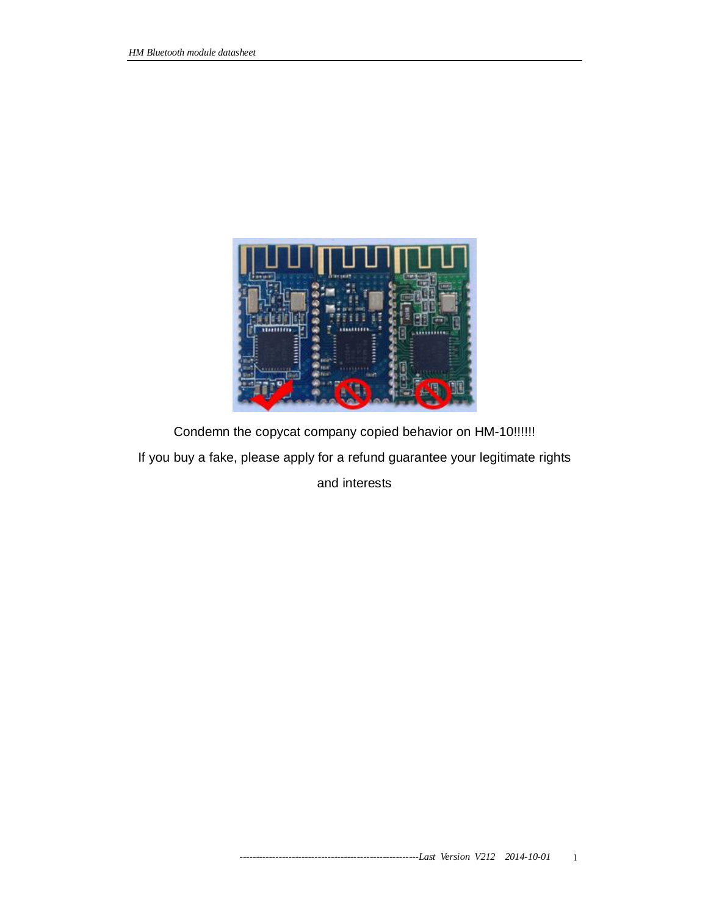

Condemn the copycat company copied behavior on HM-10!!!!!! If you buy a fake, please apply for a refund guarantee your legitimate rights

and interests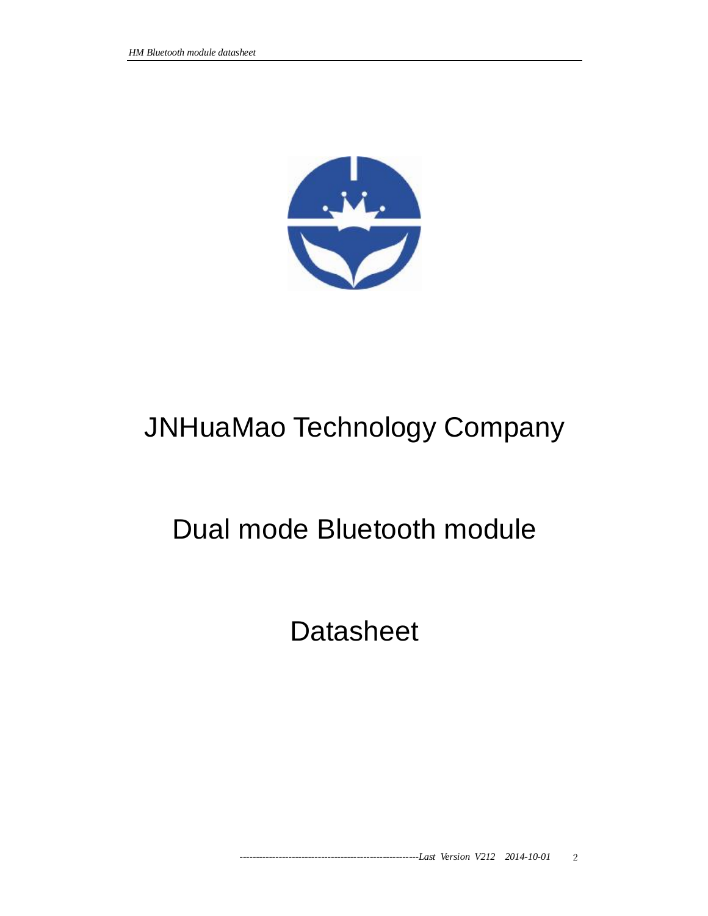

# JNHuaMao Technology Company

# Dual mode Bluetooth module

**Datasheet**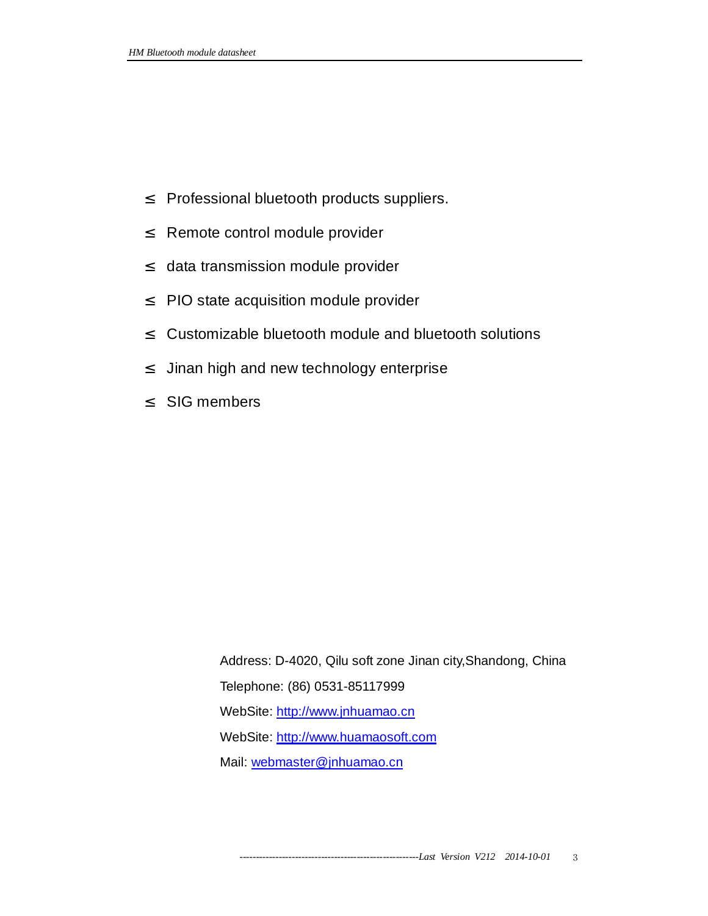- ² Professional bluetooth products suppliers.
- <sup>2</sup> Remote control module provider
- <sup>2</sup> data transmission module provider
- ² PIO state acquisition module provider
- ² Customizable bluetooth module and bluetooth solutions
- <sup>2</sup> Jinan high and new technology enterprise
- ² SIG members

Address: D-4020, Qilu soft zone Jinan city,Shandong, China Telephone: (86) 0531-85117999 WebSite: http://www.jnhuamao.cn WebSite:<http://www.huamaosoft.com> Mail: [webmaster@jnhuamao.cn](mailto:webmaster@jnhuamao.cn)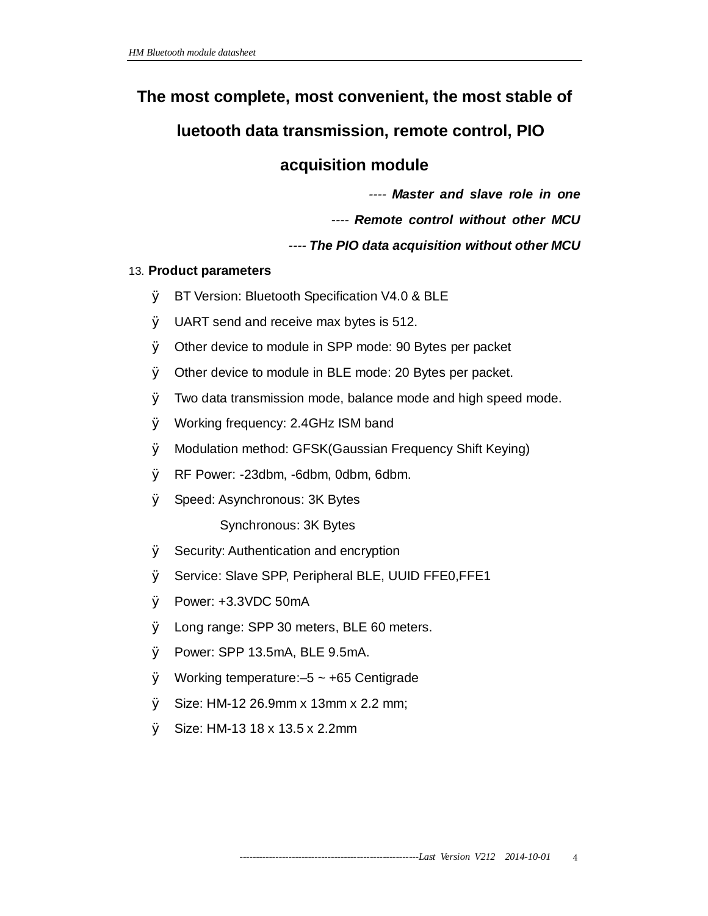# **The most complete, most convenient, the most stable of**

# **luetooth data transmission, remote control, PIO**

# **acquisition module**

*---- Master and slave role in one* 

*---- Remote control without other MCU* 

# *---- The PIO data acquisition without other MCU*

# 13. **Product parameters**

- Ø BT Version: Bluetooth Specification V4.0 & BLE
- Ø UART send and receive max bytes is 512.
- Ø Other device to module in SPP mode: 90 Bytes per packet
- Ø Other device to module in BLE mode: 20 Bytes per packet.
- Ø Two data transmission mode, balance mode and high speed mode.
- Ø Working frequency: 2.4GHz ISM band
- Ø Modulation method: GFSK(Gaussian Frequency Shift Keying)
- Ø RF Power: -23dbm, -6dbm, 0dbm, 6dbm.
- Ø Speed: Asynchronous: 3K Bytes

Synchronous: 3K Bytes

- Ø Security: Authentication and encryption
- Ø Service: Slave SPP, Peripheral BLE, UUID FFE0,FFE1
- Ø Power: +3.3VDC 50mA
- Ø Long range: SPP 30 meters, BLE 60 meters.
- Ø Power: SPP 13.5mA, BLE 9.5mA.
- $\emptyset$  Working temperature: -5 ~ +65 Centigrade
- Ø Size: HM-12 26.9mm x 13mm x 2.2 mm;
- Ø Size: HM-13 18 x 13.5 x 2.2mm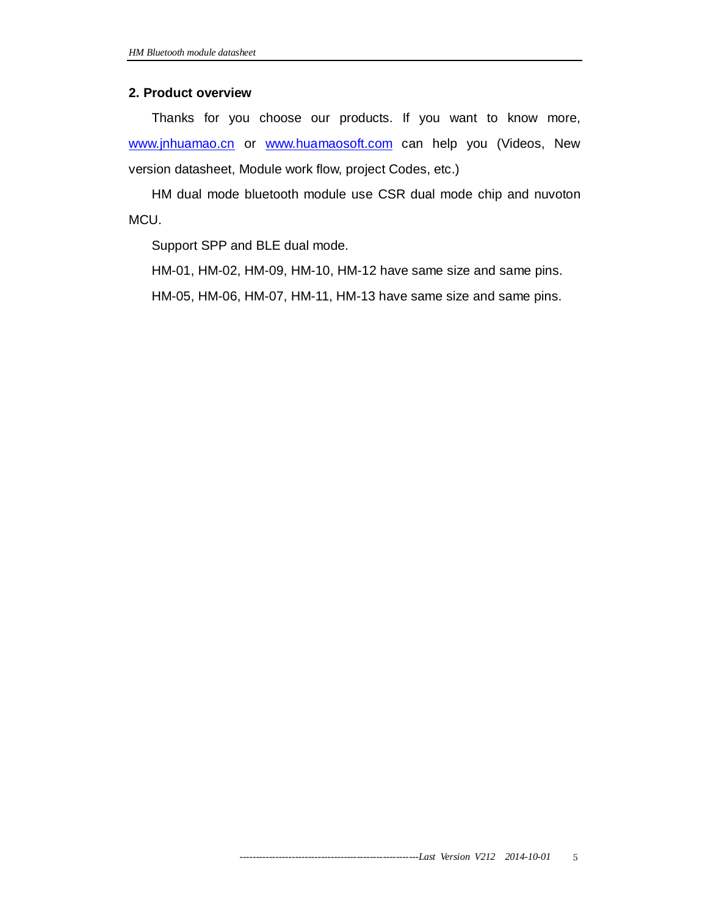#### **2. Product overview**

Thanks for you choose our products. If you want to know more, [www.jnhuamao.cn](http://www.jnhuamao.cn) or [www.huamaosoft.com](http://www.huamaosoft.com) can help you (Videos, New version datasheet, Module work flow, project Codes, etc.)

HM dual mode bluetooth module use CSR dual mode chip and nuvoton MCU.

Support SPP and BLE dual mode.

HM-01, HM-02, HM-09, HM-10, HM-12 have same size and same pins.

HM-05, HM-06, HM-07, HM-11, HM-13 have same size and same pins.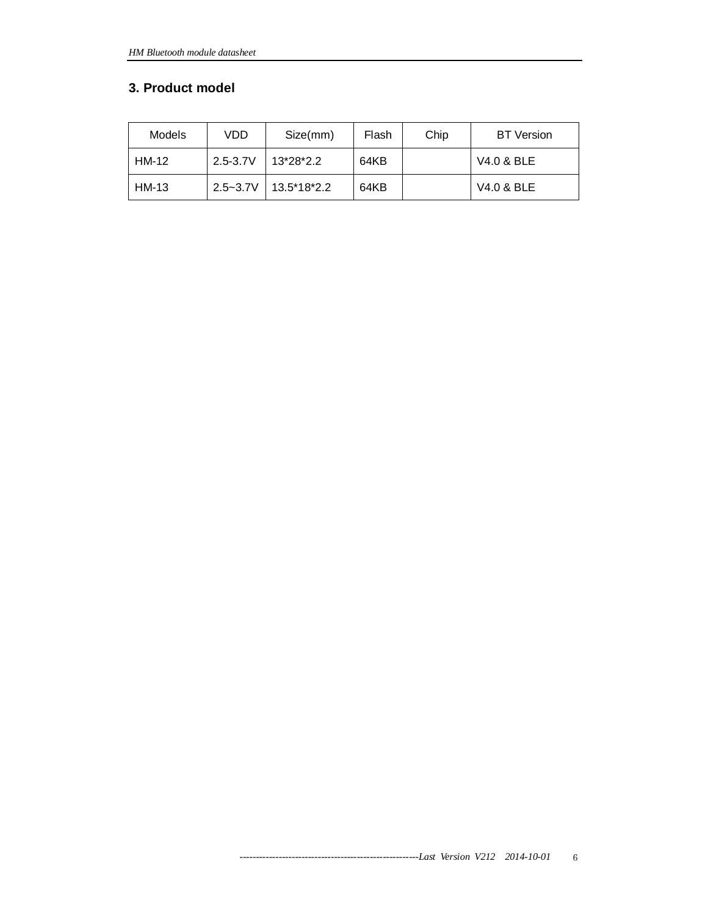#### **3. Product model**

| Models | VDD          | Size(mm)    | Flash | Chip | <b>BT</b> Version |
|--------|--------------|-------------|-------|------|-------------------|
| HM-12  | $2.5 - 3.7V$ | 13*28*2.2   | 64KB  |      | V4.0 & BLE        |
| HM-13  | $2.5 - 3.7V$ | 13.5*18*2.2 | 64KB  |      | V4.0 & BLE        |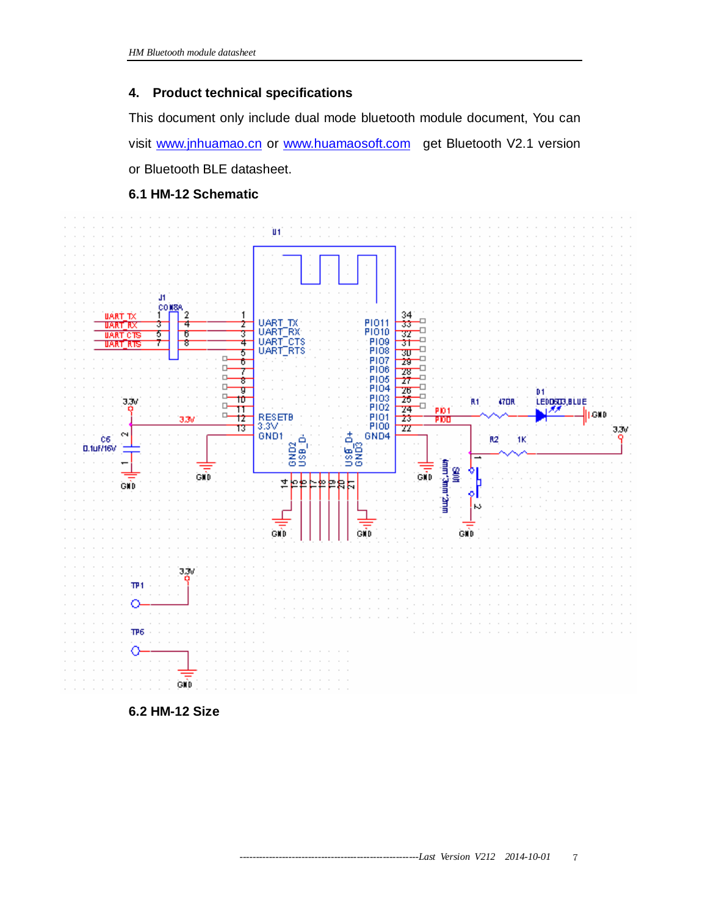#### **4. Product technical specifications**

This document only include dual mode bluetooth module document, You can visit [www.jnhuamao.cn](http://www.jnhuamao.cn) or [www.huamaosoft.com](http://www.huamaosoft.com) get Bluetooth V2.1 version or Bluetooth BLE datasheet.





**6.2 HM-12 Size**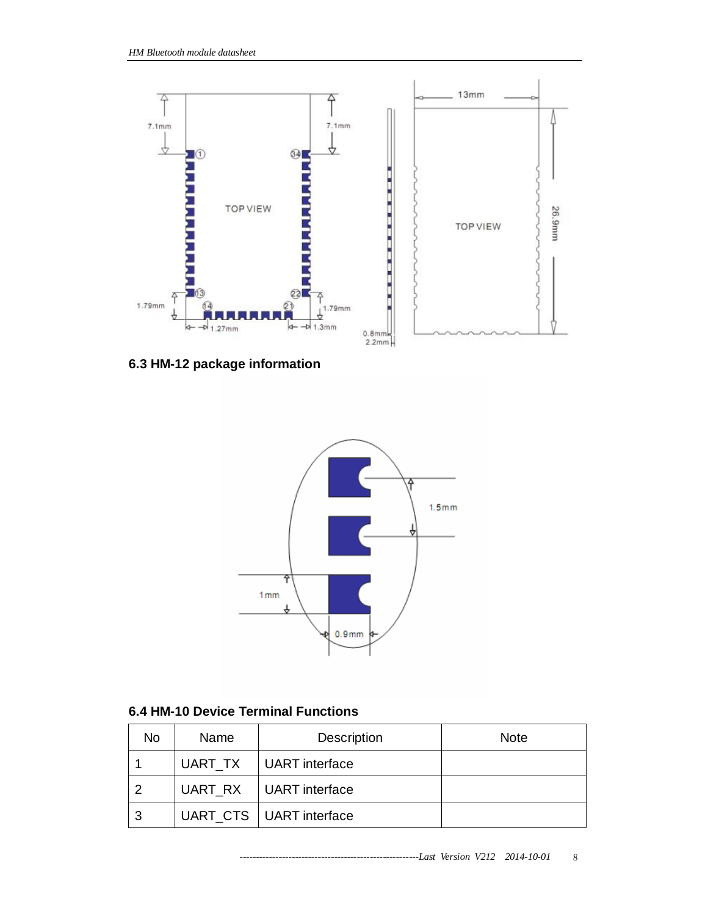

**6.3 HM-12 package information** 



## **6.4 HM-10 Device Terminal Functions**

| No | <b>Name</b> | Description               | <b>Note</b> |
|----|-------------|---------------------------|-------------|
|    | UART TX     | UART interface            |             |
| າ  |             | UART RX   UART interface  |             |
| 3  |             | UART_CTS   UART interface |             |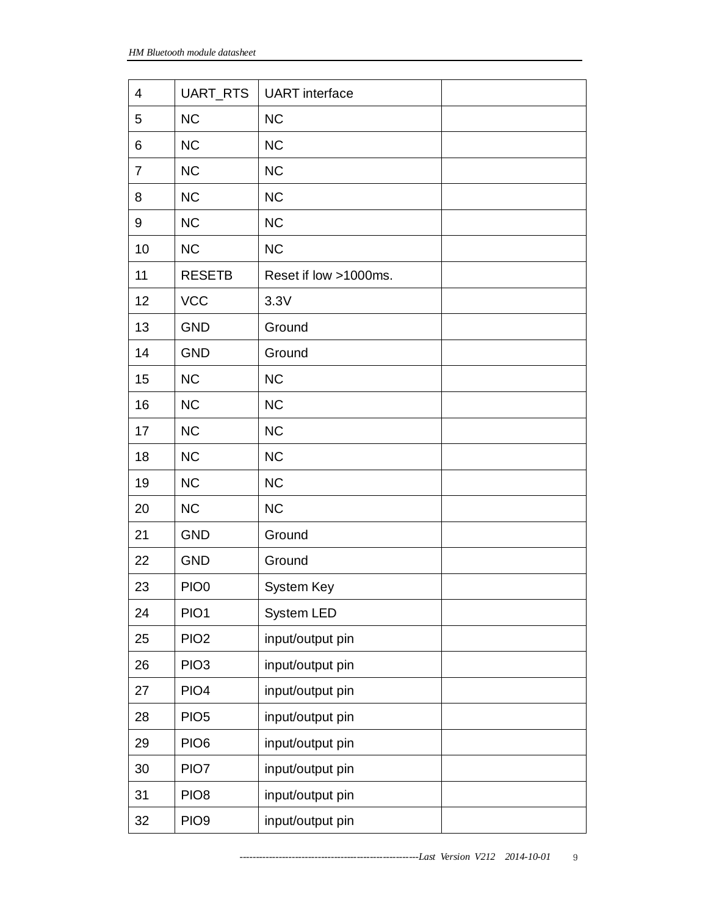| 4              | UART_RTS         | <b>UART</b> interface |  |
|----------------|------------------|-----------------------|--|
| 5              | <b>NC</b>        | <b>NC</b>             |  |
| 6              | <b>NC</b>        | <b>NC</b>             |  |
| $\overline{7}$ | <b>NC</b>        | <b>NC</b>             |  |
| 8              | <b>NC</b>        | <b>NC</b>             |  |
| 9              | <b>NC</b>        | <b>NC</b>             |  |
| 10             | <b>NC</b>        | <b>NC</b>             |  |
| 11             | <b>RESETB</b>    | Reset if low >1000ms. |  |
| 12             | <b>VCC</b>       | 3.3V                  |  |
| 13             | <b>GND</b>       | Ground                |  |
| 14             | <b>GND</b>       | Ground                |  |
| 15             | <b>NC</b>        | <b>NC</b>             |  |
| 16             | <b>NC</b>        | <b>NC</b>             |  |
| 17             | <b>NC</b>        | NC                    |  |
| 18             | <b>NC</b>        | <b>NC</b>             |  |
| 19             | <b>NC</b>        | <b>NC</b>             |  |
| 20             | <b>NC</b>        | <b>NC</b>             |  |
| 21             | <b>GND</b>       | Ground                |  |
| 22             | <b>GND</b>       | Ground                |  |
| 23             | PIO <sub>0</sub> | System Key            |  |
| 24             | PIO1             | System LED            |  |
| 25             | PIO <sub>2</sub> | input/output pin      |  |
| 26             | PIO <sub>3</sub> | input/output pin      |  |
| 27             | PIO <sub>4</sub> | input/output pin      |  |
| 28             | PIO <sub>5</sub> | input/output pin      |  |
| 29             | PIO <sub>6</sub> | input/output pin      |  |
| 30             | PIO7             | input/output pin      |  |
| 31             | PIO <sub>8</sub> | input/output pin      |  |
| 32             | PIO <sub>9</sub> | input/output pin      |  |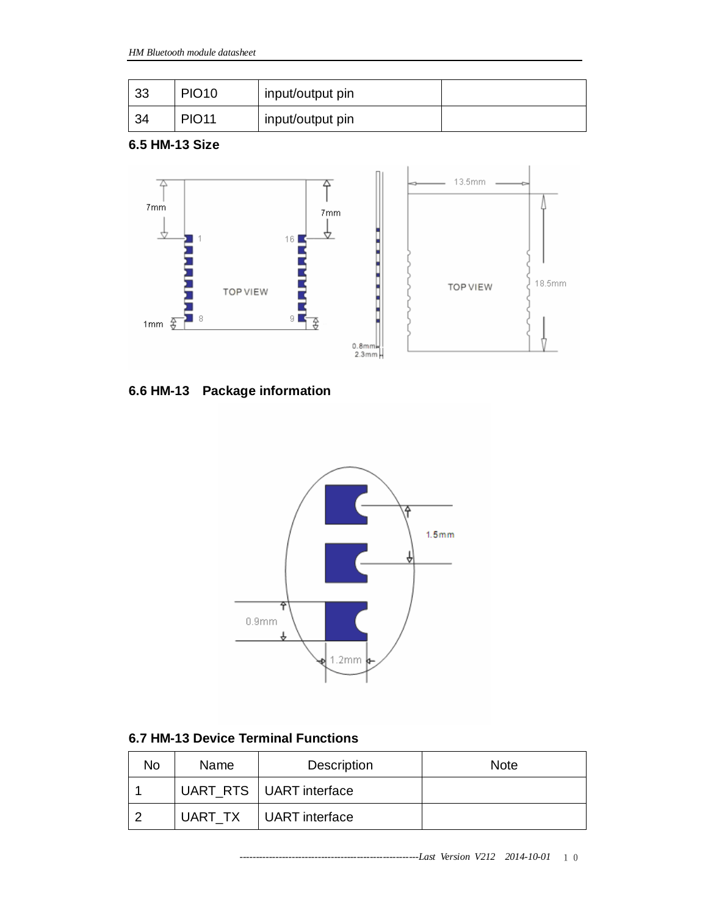| 33 | <b>PIO10</b> | input/output pin |  |
|----|--------------|------------------|--|
| 34 | <b>PIO11</b> | input/output pin |  |

**6.5 HM-13 Size** 



**6.6 HM-13 Package information** 



**6.7 HM-13 Device Terminal Functions** 

| No | Name    | Description               | <b>Note</b> |
|----|---------|---------------------------|-------------|
|    |         | UART_RTS   UART interface |             |
|    | UART TX | UART interface            |             |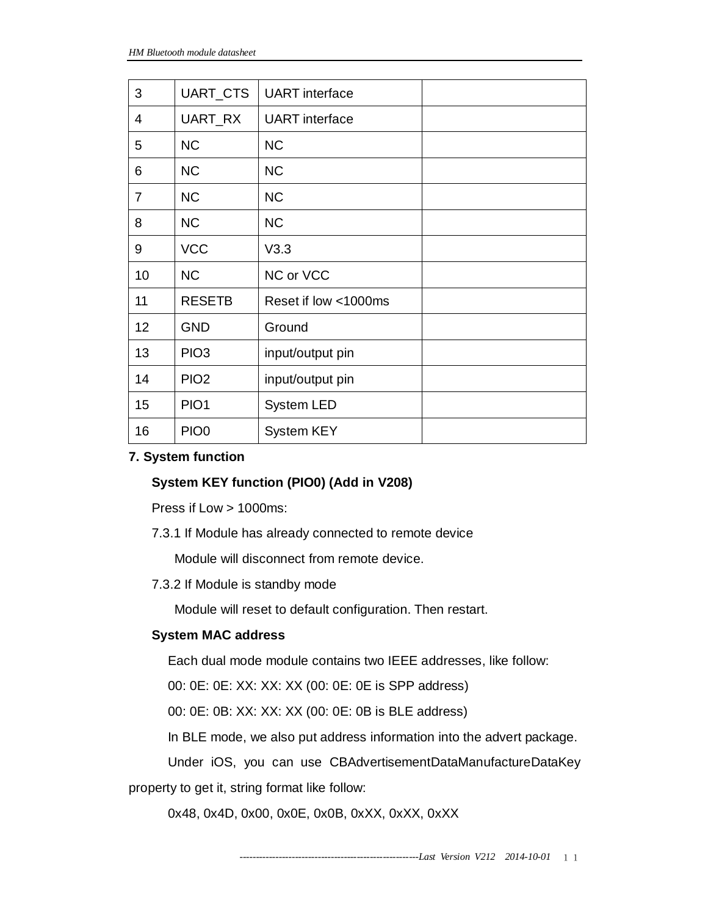| 3  | UART_CTS         | <b>UART</b> interface |  |
|----|------------------|-----------------------|--|
| 4  | UART_RX          | <b>UART</b> interface |  |
| 5  | <b>NC</b>        | <b>NC</b>             |  |
| 6  | <b>NC</b>        | <b>NC</b>             |  |
| 7  | <b>NC</b>        | <b>NC</b>             |  |
| 8  | <b>NC</b>        | <b>NC</b>             |  |
| 9  | <b>VCC</b>       | V3.3                  |  |
| 10 | <b>NC</b>        | NC or VCC             |  |
| 11 | <b>RESETB</b>    | Reset if low <1000ms  |  |
| 12 | <b>GND</b>       | Ground                |  |
| 13 | PIO <sub>3</sub> | input/output pin      |  |
| 14 | PIO <sub>2</sub> | input/output pin      |  |
| 15 | PIO <sub>1</sub> | System LED            |  |
| 16 | PIO <sub>0</sub> | <b>System KEY</b>     |  |

#### **7. System function**

#### **System KEY function (PIO0) (Add in V208)**

Press if Low > 1000ms:

7.3.1 If Module has already connected to remote device

Module will disconnect from remote device.

7.3.2 If Module is standby mode

Module will reset to default configuration. Then restart.

#### **System MAC address**

Each dual mode module contains two IEEE addresses, like follow:

00: 0E: 0E: XX: XX: XX (00: 0E: 0E is SPP address)

00: 0E: 0B: XX: XX: XX (00: 0E: 0B is BLE address)

In BLE mode, we also put address information into the advert package.

Under iOS, you can use CBAdvertisementDataManufactureDataKey

property to get it, string format like follow:

0x48, 0x4D, 0x00, 0x0E, 0x0B, 0xXX, 0xXX, 0xXX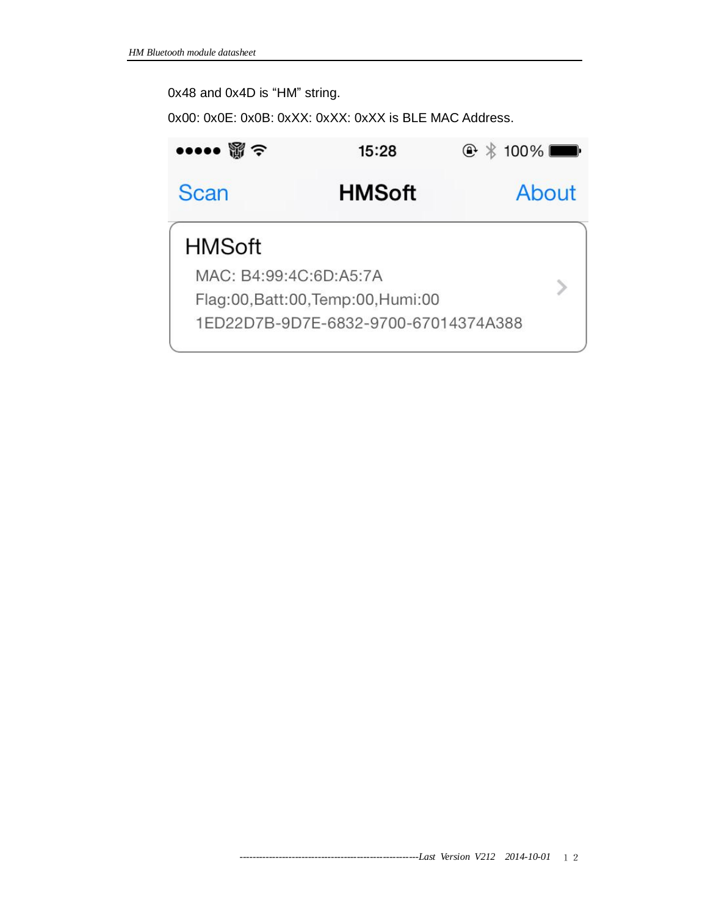# 0x48 and 0x4D is "HM" string.

0x00: 0x0E: 0x0B: 0xXX: 0xXX: 0xXX is BLE MAC Address.

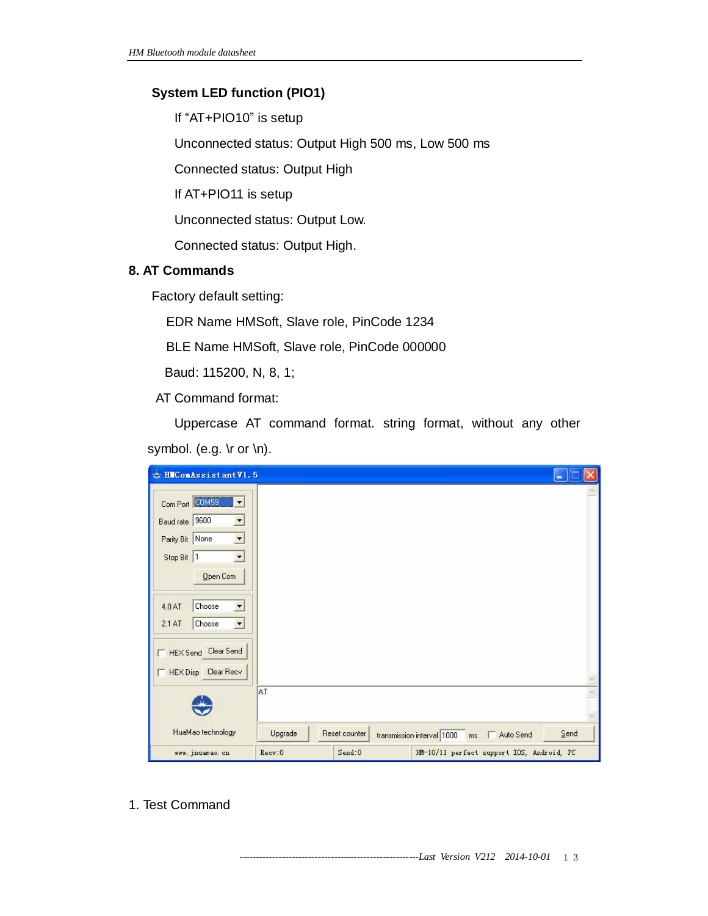# **System LED function (PIO1)**

If "AT+PIO10" is setup

Unconnected status: Output High 500 ms, Low 500 ms

Connected status: Output High

If AT+PIO11 is setup

Unconnected status: Output Low.

Connected status: Output High.

#### **8. AT Commands**

Factory default setting:

EDR Name HMSoft, Slave role, PinCode 1234

BLE Name HMSoft, Slave role, PinCode 000000

Baud: 115200, N, 8, 1;

AT Command format:

Uppercase AT command format. string format, without any other symbol. (e.g. \r or \n).

| $\Rightarrow$<br>HIConAssistantV1.5                                                                                                                                                                                                        |         |               | ш                                                     |  |
|--------------------------------------------------------------------------------------------------------------------------------------------------------------------------------------------------------------------------------------------|---------|---------------|-------------------------------------------------------|--|
| Com Port<br>$\overline{\phantom{a}}$<br>Baud rate   9600<br>$\blacksquare$<br>Parity Bit None<br>$\vert \cdot \vert$<br>$\blacktriangledown$<br>Stop Bit 1<br>Open Com<br>Choose<br>4.0 AT<br>$\blacktriangledown$<br>2.1AT<br>Choose<br>ᆂ |         |               |                                                       |  |
| HEX Send Clear Send<br>Clear Recv<br><b>HEX Disp</b>                                                                                                                                                                                       | AT      |               |                                                       |  |
| HuaMao technology                                                                                                                                                                                                                          | Upgrade | Reset counter | Send<br>transmission interval 1000<br>Auto Send<br>ms |  |
| www. jnuamao. cn                                                                                                                                                                                                                           | Recv:0  | Send:0        | HM-10/11 perfect support IOS, Android, PC             |  |

1. Test Command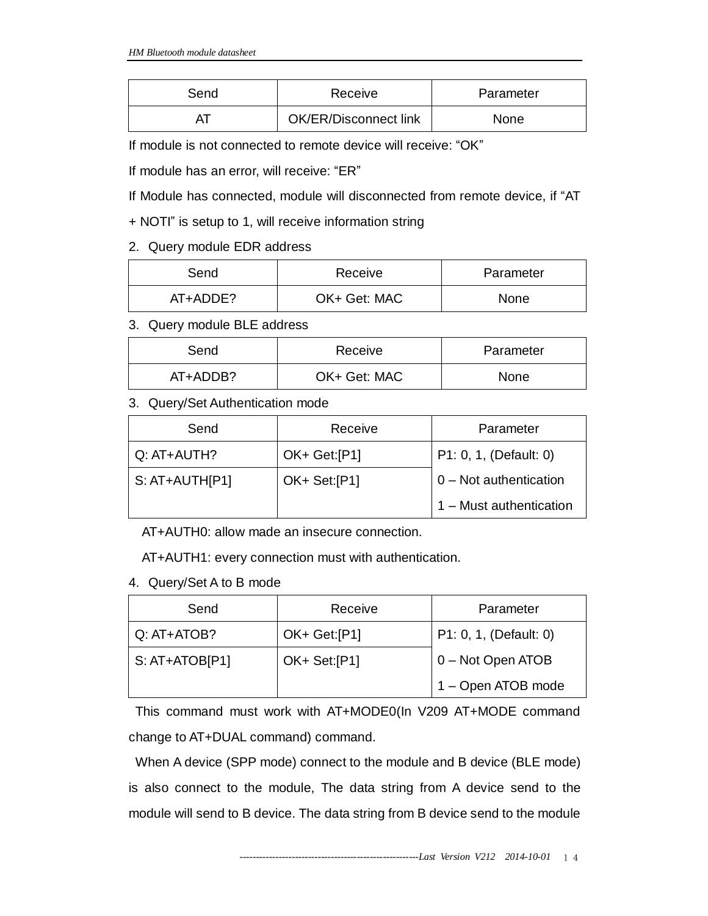| Send | Receive               | Parameter |
|------|-----------------------|-----------|
|      | OK/ER/Disconnect link | None      |

If module is not connected to remote device will receive: "OK"

If module has an error, will receive: "ER"

If Module has connected, module will disconnected from remote device, if "AT

+ NOTI" is setup to 1, will receive information string

## 2. Query module EDR address

| Send     | Receive      | Parameter   |
|----------|--------------|-------------|
| AT+ADDE? | OK+ Get: MAC | <b>None</b> |

3. Query module BLE address

| Send     | Receive      | Parameter   |
|----------|--------------|-------------|
| AT+ADDB? | OK+ Get: MAC | <b>None</b> |

# 3. Query/Set Authentication mode

| Send             | Receive      | Parameter               |
|------------------|--------------|-------------------------|
| Q: AT+AUTH?      | OK+ Get:[P1] | P1: 0, 1, (Default: 0)  |
| $S: AT+AUTH[P1]$ | OK+ Set:[P1] | 0 - Not authentication  |
|                  |              | 1 - Must authentication |

AT+AUTH0: allow made an insecure connection.

AT+AUTH1: every connection must with authentication.

4. Query/Set A to B mode

| Send            | Receive      | Parameter              |
|-----------------|--------------|------------------------|
| Q: AT+ATOB?     | OK+ Get:[P1] | P1: 0, 1, (Default: 0) |
| $S: AT+ATOBIP1$ | OK+ Set:[P1] | 0 - Not Open ATOB      |
|                 |              | 1 - Open ATOB mode     |

This command must work with AT+MODE0(In V209 AT+MODE command change to AT+DUAL command) command.

When A device (SPP mode) connect to the module and B device (BLE mode) is also connect to the module, The data string from A device send to the module will send to B device. The data string from B device send to the module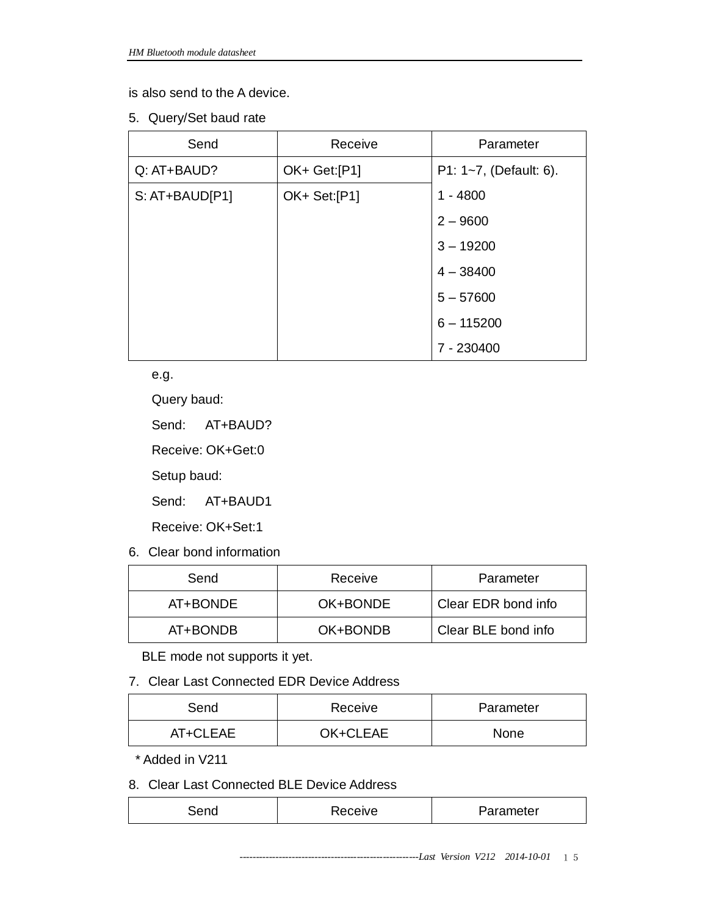is also send to the A device.

5. Query/Set baud rate

| Send           | Receive      | Parameter              |
|----------------|--------------|------------------------|
| Q: AT+BAUD?    | OK+ Get:[P1] | P1: 1~7, (Default: 6). |
| S: AT+BAUD[P1] | OK+ Set:[P1] | $1 - 4800$             |
|                |              | $2 - 9600$             |
|                |              | $3 - 19200$            |
|                |              | $4 - 38400$            |
|                |              | $5 - 57600$            |
|                |              | $6 - 115200$           |
|                |              | 7 - 230400             |

e.g.

Query baud:

Send: AT+BAUD?

Receive: OK+Get:0

Setup baud:

Send: AT+BAUD1

Receive: OK+Set:1

6. Clear bond information

| Send     | Receive  | Parameter           |
|----------|----------|---------------------|
| AT+BONDE | OK+BONDE | Clear EDR bond info |
| AT+BONDB | OK+BONDB | Clear BLE bond info |

BLE mode not supports it yet.

7. Clear Last Connected EDR Device Address

| Send     | Receive  | Parameter   |
|----------|----------|-------------|
| AT+CLEAE | OK+CLEAE | <b>None</b> |

\* Added in V211

8. Clear Last Connected BLE Device Address

| arameter?<br>eceive |
|---------------------|
|---------------------|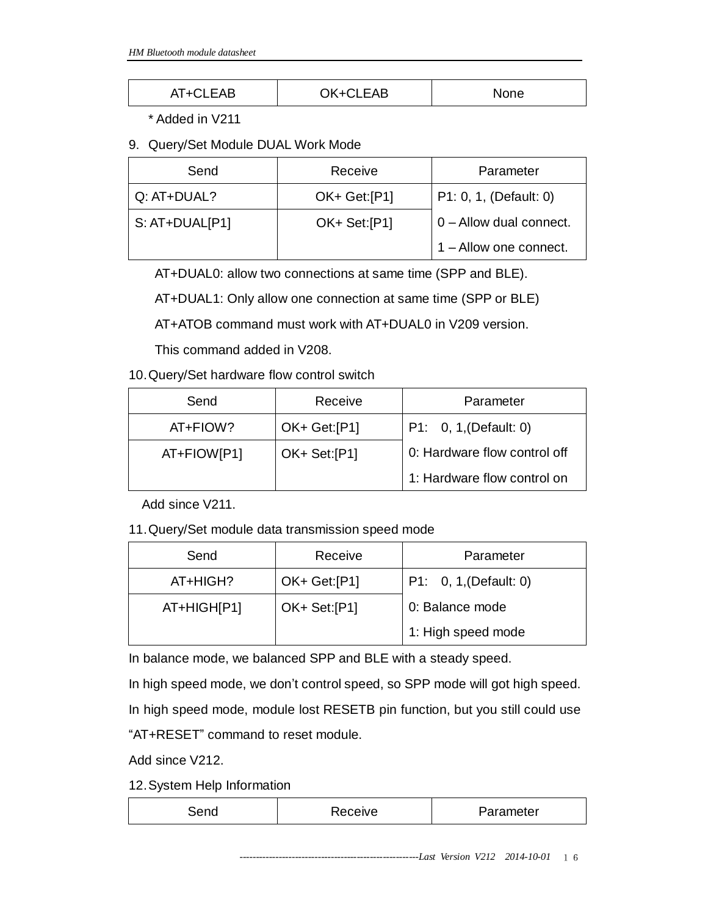| AT+CLEAB<br>AI TUL | OK+CLEAB | None |
|--------------------|----------|------|
|--------------------|----------|------|

\* Added in V211

9. Query/Set Module DUAL Work Mode

| Send           | Receive      | Parameter                  |
|----------------|--------------|----------------------------|
| Q: AT+DUAL?    | OK+ Get:[P1] | P1: 0, 1, (Default: 0)     |
| S: AT+DUAL[P1] | OK+ Set:[P1] | $ 0 -$ Allow dual connect. |
|                |              | 1 - Allow one connect.     |

AT+DUAL0: allow two connections at same time (SPP and BLE).

AT+DUAL1: Only allow one connection at same time (SPP or BLE)

AT+ATOB command must work with AT+DUAL0 in V209 version.

This command added in V208.

10.Query/Set hardware flow control switch

| Send        | Receive      | Parameter                    |
|-------------|--------------|------------------------------|
| AT+FIOW?    | OK+ Get:[P1] | P1: 0, 1, (Default: 0)       |
| AT+FIOW[P1] | OK+ Set:[P1] | 0: Hardware flow control off |
|             |              | 1: Hardware flow control on  |

Add since V211.

11.Query/Set module data transmission speed mode

| Send        | Receive      | Parameter              |
|-------------|--------------|------------------------|
| AT+HIGH?    | OK+ Get:[P1] | P1: 0, 1, (Default: 0) |
| AT+HIGH[P1] | OK+ Set:[P1] | 0: Balance mode        |
|             |              | 1: High speed mode     |

In balance mode, we balanced SPP and BLE with a steady speed.

In high speed mode, we don't control speed, so SPP mode will got high speed. In high speed mode, module lost RESETB pin function, but you still could use "AT+RESET" command to reset module.

Add since V212.

12.System Help Information

| $\sim$ | ≎eive | 'arameter |
|--------|-------|-----------|
|        |       |           |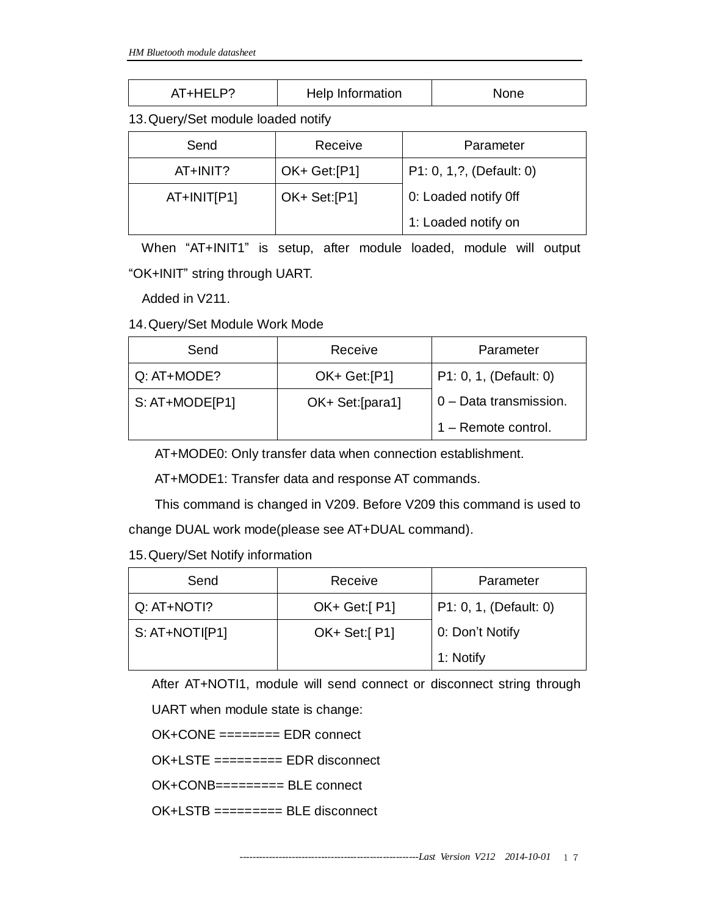| AT+HELP? | Help Information | None |
|----------|------------------|------|
|----------|------------------|------|

13.Query/Set module loaded notify

| Send        | Receive      | Parameter                 |
|-------------|--------------|---------------------------|
| AT+INIT?    | OK+ Get:[P1] | P1: 0, 1, ?, (Default: 0) |
| AT+INIT[P1] | OK+ Set:[P1] | 0: Loaded notify Off      |
|             |              | 1: Loaded notify on       |

When "AT+INIT1" is setup, after module loaded, module will output "OK+INIT" string through UART.

Added in V211.

14.Query/Set Module Work Mode

| Send              | Receive          | Parameter              |
|-------------------|------------------|------------------------|
| $Q: AT+MODE?$     | OK+ Get:[P1]     | P1: 0, 1, (Default: 0) |
| $S: AT+MODEF[P1]$ | OK+ Set: [para1] | 0 - Data transmission. |
|                   |                  | 1 - Remote control.    |

AT+MODE0: Only transfer data when connection establishment.

AT+MODE1: Transfer data and response AT commands.

This command is changed in V209. Before V209 this command is used to change DUAL work mode(please see AT+DUAL command).

15.Query/Set Notify information

| Send             | Receive      | Parameter              |
|------------------|--------------|------------------------|
| Q: AT+NOTI?      | OK+ Get:[P1] | P1: 0, 1, (Default: 0) |
| $S: AT+NOT$ [P1] | OK+ Set:[P1] | 0: Don't Notify        |
|                  |              | 1: Notify              |

After AT+NOTI1, module will send connect or disconnect string through

UART when module state is change:

OK+CONE ======== EDR connect

OK+LSTE ========= EDR disconnect

OK+CONB========= BLE connect

OK+LSTB ========= BLE disconnect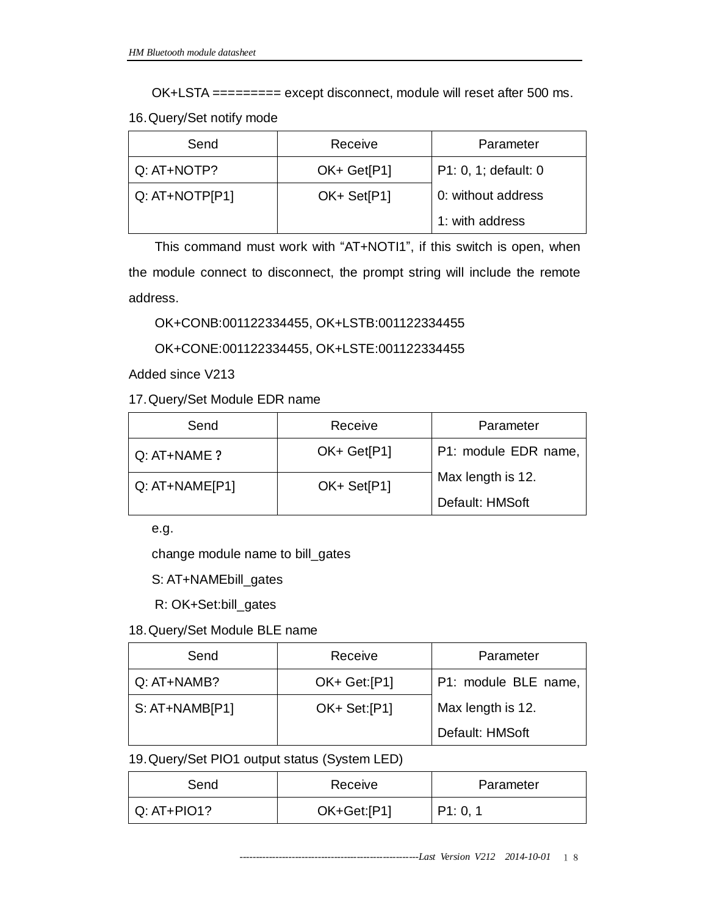OK+LSTA ========= except disconnect, module will reset after 500 ms.

16.Query/Set notify mode

| Send           | Receive     | Parameter            |
|----------------|-------------|----------------------|
| Q: AT+NOTP?    | OK+ Get[P1] | P1: 0, 1; default: 0 |
| Q: AT+NOTP[P1] | OK+ Set[P1] | 0: without address   |
|                |             | 1: with address      |

This command must work with "AT+NOTI1", if this switch is open, when the module connect to disconnect, the prompt string will include the remote address.

OK+CONB:001122334455, OK+LSTB:001122334455

OK+CONE:001122334455, OK+LSTE:001122334455

Added since V213

17.Query/Set Module EDR name

| Send             | Receive     | Parameter            |
|------------------|-------------|----------------------|
| $Q: AT+NAME$ ?   | OK+ Get[P1] | P1: module EDR name, |
| $Q: AT+NAME[P1]$ | OK+ Set[P1] | Max length is 12.    |
|                  |             | Default: HMSoft      |

e.g.

change module name to bill\_gates

S: AT+NAMEbill\_gates

R: OK+Set:bill\_gates

18.Query/Set Module BLE name

| Send             | Receive      | Parameter            |
|------------------|--------------|----------------------|
| Q: AT+NAMB?      | OK+ Get:[P1] | P1: module BLE name, |
| $S: AT+NAMB[P1]$ | OK+ Set:[P1] | Max length is 12.    |
|                  |              | Default: HMSoft      |

19.Query/Set PIO1 output status (System LED)

| Send          | Receive     | Parameter |
|---------------|-------------|-----------|
| $Q: AT+PIO1?$ | OK+Get:[P1] | P1: 0, 1  |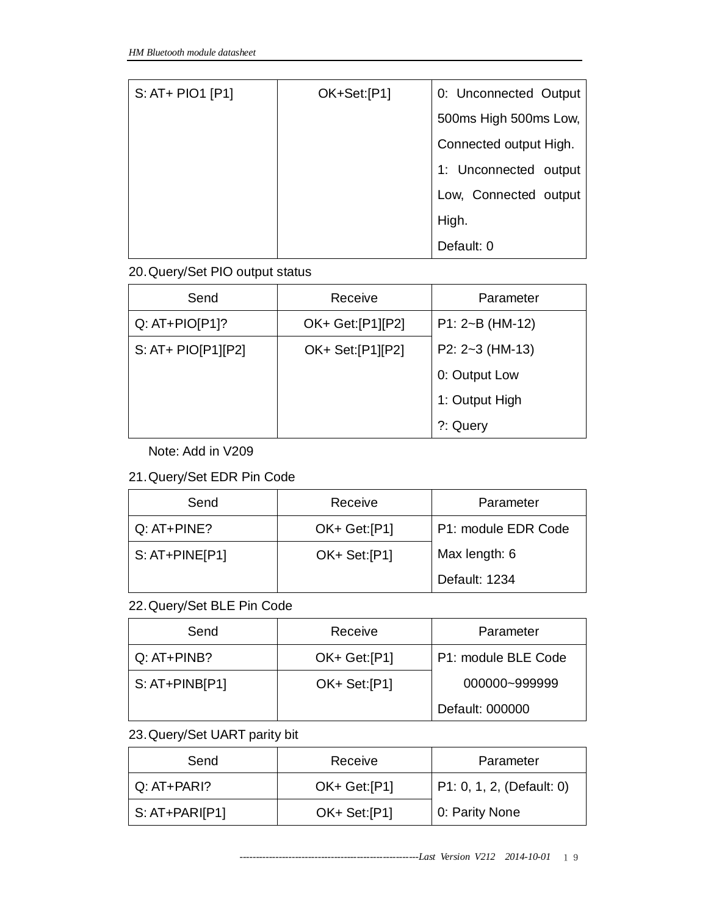| S: AT+ PIO1 [P1] | OK+Set:[P1] | 0: Unconnected Output  |
|------------------|-------------|------------------------|
|                  |             | 500ms High 500ms Low,  |
|                  |             | Connected output High. |
|                  |             | 1: Unconnected output  |
|                  |             | Low, Connected output  |
|                  |             | High.                  |
|                  |             | Default: 0             |

#### 20.Query/Set PIO output status

| Send               | Receive            | Parameter             |
|--------------------|--------------------|-----------------------|
| $Q: AT+PIO[ P1]$ ? | OK+ Get: [P1] [P2] | $P1: 2\neg B (HM-12)$ |
| S: AT+ PIO[P1][P2] | OK+ Set:[P1][P2]   | P2: $2-3$ (HM-13)     |
|                    |                    | 0: Output Low         |
|                    |                    | 1: Output High        |
|                    |                    | ?: Query              |

## Note: Add in V209

#### 21.Query/Set EDR Pin Code

| Send             | Receive      | Parameter           |
|------------------|--------------|---------------------|
| $Q: AT+PINE?$    | OK+ Get:[P1] | P1: module EDR Code |
| $S: AT+PINE[P1]$ | OK+ Set:[P1] | Max length: 6       |
|                  |              | Default: 1234       |

# 22.Query/Set BLE Pin Code

| Send             | Receive      | Parameter           |
|------------------|--------------|---------------------|
| $Q: AT+PINB?$    | OK+ Get:[P1] | P1: module BLE Code |
| $S: AT+PINB[P1]$ | OK+ Set:[P1] | 000000~999999       |
|                  |              | Default: 000000     |

# 23.Query/Set UART parity bit

| Send           | Receive       | Parameter                 |
|----------------|---------------|---------------------------|
| $Q: AT+PARI?$  | OK+ Get: [P1] | P1: 0, 1, 2, (Default: 0) |
| $S: AT+PARIP1$ | OK+ Set:[P1]  | 0: Parity None            |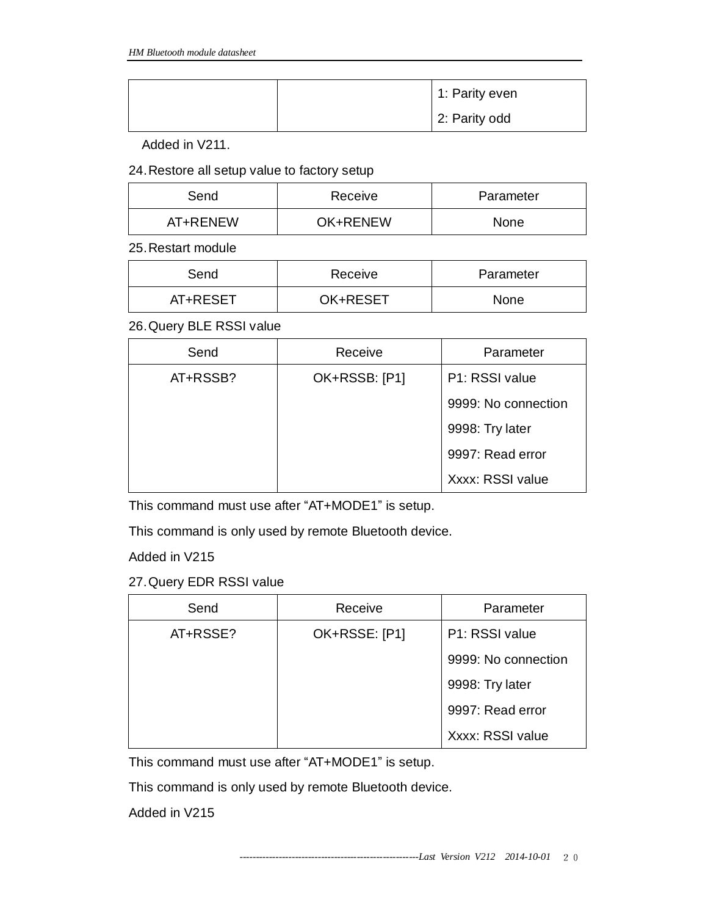|  | 1: Parity even |
|--|----------------|
|  | 2: Parity odd  |

Added in V211.

24.Restore all setup value to factory setup

| Send     | Receive         | Parameter |
|----------|-----------------|-----------|
| AT+RENEW | <b>OK+RENEW</b> | None      |

25.Restart module

| Send     | Receive  | Parameter   |
|----------|----------|-------------|
| AT+RESET | OK+RESET | <b>None</b> |

26.Query BLE RSSI value

| Send     | Receive       | Parameter           |
|----------|---------------|---------------------|
| AT+RSSB? | OK+RSSB: [P1] | P1: RSSI value      |
|          |               | 9999: No connection |
|          |               | 9998: Try later     |
|          |               | 9997: Read error    |
|          |               | Xxxx: RSSI value    |

This command must use after "AT+MODE1" is setup.

This command is only used by remote Bluetooth device.

Added in V215

27.Query EDR RSSI value

| Send     | Receive       | Parameter           |
|----------|---------------|---------------------|
| AT+RSSE? | OK+RSSE: [P1] | P1: RSSI value      |
|          |               | 9999: No connection |
|          |               | 9998: Try later     |
|          |               | 9997: Read error    |
|          |               | Xxxx: RSSI value    |

This command must use after "AT+MODE1" is setup.

This command is only used by remote Bluetooth device.

Added in V215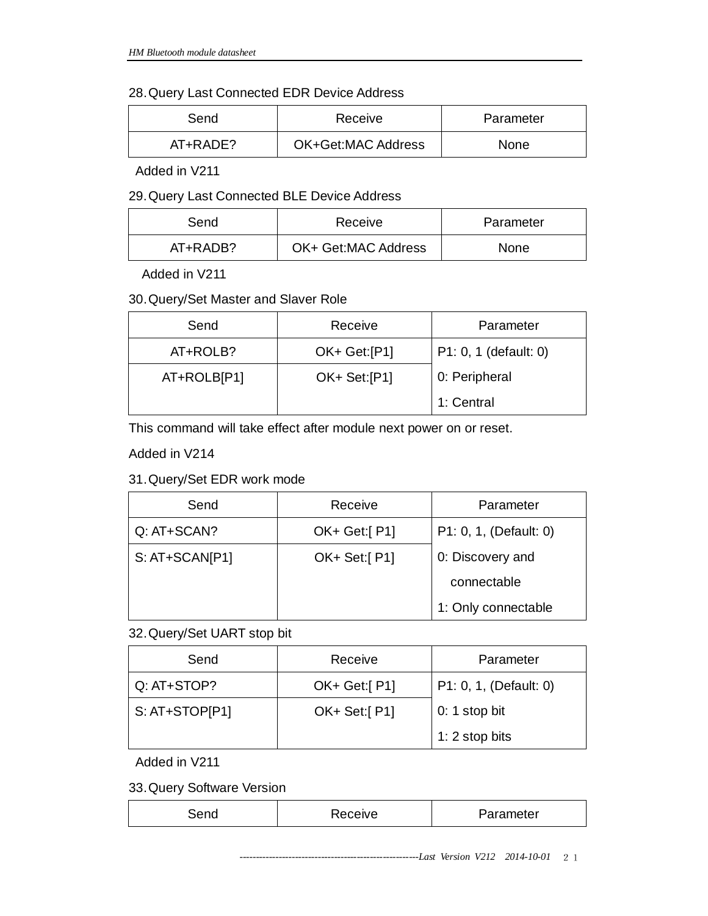#### 28.Query Last Connected EDR Device Address

| Send     | Receive            | Parameter   |
|----------|--------------------|-------------|
| AT+RADE? | OK+Get:MAC Address | <b>None</b> |

Added in V211

#### 29.Query Last Connected BLE Device Address

| Send     | Receive             | Parameter   |
|----------|---------------------|-------------|
| AT+RADB? | OK+ Get:MAC Address | <b>None</b> |

Added in V211

## 30.Query/Set Master and Slaver Role

| Send        | Receive      | Parameter             |
|-------------|--------------|-----------------------|
| AT+ROLB?    | OK+ Get:[P1] | P1: 0, 1 (default: 0) |
| AT+ROLB[P1] | OK+ Set:[P1] | 0: Peripheral         |
|             |              | 1: Central            |

This command will take effect after module next power on or reset.

Added in V214

# 31.Query/Set EDR work mode

| Send           | Receive         | Parameter              |
|----------------|-----------------|------------------------|
| Q: AT+SCAN?    | $OK+ Get: [P1]$ | P1: 0, 1, (Default: 0) |
| S: AT+SCAN[P1] | OK+ Set:[P1]    | 0: Discovery and       |
|                |                 | connectable            |
|                |                 | 1: Only connectable    |

#### 32.Query/Set UART stop bit

| Send           | Receive      | Parameter              |
|----------------|--------------|------------------------|
| Q: AT+STOP?    | OK+ Get:[P1] | P1: 0, 1, (Default: 0) |
| S: AT+STOP[P1] | OK+ Set:[P1] | 0: 1 stop bit          |
|                |              | 1: 2 stop bits         |

Added in V211

33.Query Software Version

| $\sim$ | ceive<br>. . ا | Parameter |
|--------|----------------|-----------|
|        |                |           |